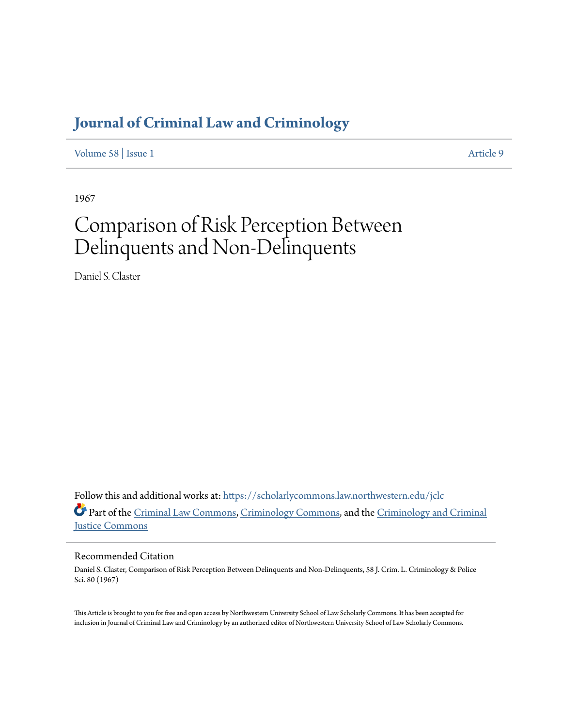# **[Journal of Criminal Law and Criminology](https://scholarlycommons.law.northwestern.edu/jclc?utm_source=scholarlycommons.law.northwestern.edu%2Fjclc%2Fvol58%2Fiss1%2F9&utm_medium=PDF&utm_campaign=PDFCoverPages)**

[Volume 58](https://scholarlycommons.law.northwestern.edu/jclc/vol58?utm_source=scholarlycommons.law.northwestern.edu%2Fjclc%2Fvol58%2Fiss1%2F9&utm_medium=PDF&utm_campaign=PDFCoverPages) | [Issue 1](https://scholarlycommons.law.northwestern.edu/jclc/vol58/iss1?utm_source=scholarlycommons.law.northwestern.edu%2Fjclc%2Fvol58%2Fiss1%2F9&utm_medium=PDF&utm_campaign=PDFCoverPages) [Article 9](https://scholarlycommons.law.northwestern.edu/jclc/vol58/iss1/9?utm_source=scholarlycommons.law.northwestern.edu%2Fjclc%2Fvol58%2Fiss1%2F9&utm_medium=PDF&utm_campaign=PDFCoverPages)

1967

# Comparison of Risk Perception Between Delinquents and Non-Delinquents

Daniel S. Claster

Follow this and additional works at: [https://scholarlycommons.law.northwestern.edu/jclc](https://scholarlycommons.law.northwestern.edu/jclc?utm_source=scholarlycommons.law.northwestern.edu%2Fjclc%2Fvol58%2Fiss1%2F9&utm_medium=PDF&utm_campaign=PDFCoverPages) Part of the [Criminal Law Commons](http://network.bepress.com/hgg/discipline/912?utm_source=scholarlycommons.law.northwestern.edu%2Fjclc%2Fvol58%2Fiss1%2F9&utm_medium=PDF&utm_campaign=PDFCoverPages), [Criminology Commons](http://network.bepress.com/hgg/discipline/417?utm_source=scholarlycommons.law.northwestern.edu%2Fjclc%2Fvol58%2Fiss1%2F9&utm_medium=PDF&utm_campaign=PDFCoverPages), and the [Criminology and Criminal](http://network.bepress.com/hgg/discipline/367?utm_source=scholarlycommons.law.northwestern.edu%2Fjclc%2Fvol58%2Fiss1%2F9&utm_medium=PDF&utm_campaign=PDFCoverPages) [Justice Commons](http://network.bepress.com/hgg/discipline/367?utm_source=scholarlycommons.law.northwestern.edu%2Fjclc%2Fvol58%2Fiss1%2F9&utm_medium=PDF&utm_campaign=PDFCoverPages)

# Recommended Citation

Daniel S. Claster, Comparison of Risk Perception Between Delinquents and Non-Delinquents, 58 J. Crim. L. Criminology & Police Sci. 80 (1967)

This Article is brought to you for free and open access by Northwestern University School of Law Scholarly Commons. It has been accepted for inclusion in Journal of Criminal Law and Criminology by an authorized editor of Northwestern University School of Law Scholarly Commons.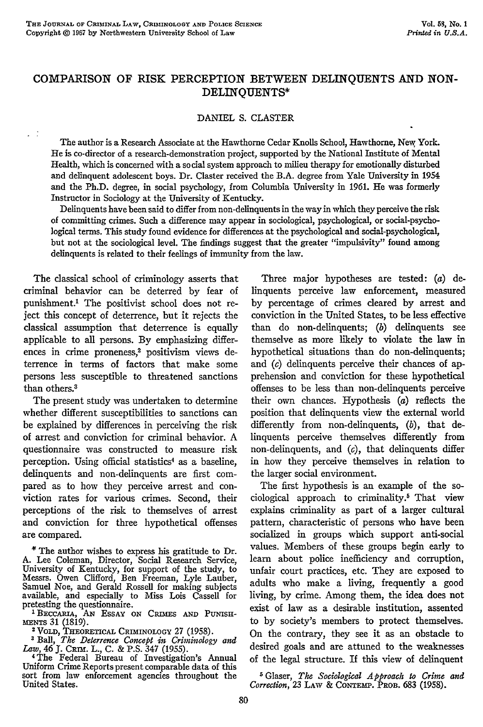$\cdot$  :

# COMPARISON OF RISK PERCEPTION BETWEEN DELINQUENTS **AND NON-**DELINQUENTS\*

#### DANIEL S. CLASTER

The author is a Research Associate at the Hawthorne Cedar Knolls School, Hawthorne, New York. He is co-director of a research-demonstration project, supported by the National Institute of Mental Health, which is concerned with a social system approach to milieu therapy for emotionally disturbed and delinquent adolescent boys. Dr. Claster received the B.A. degree from Yale University in 1954 and the Ph.D. degree, in social psychology, from Columbia University in 1961. He was formerly Instructor in Sociology at the University of Kentucky.

Delinquents have been said to differ from non-delinquents in the way in which they perceive the risk of committing crimes. Such a difference may appear in sociological, psychological, or social-psychological terms. This study found evidence for differences at the psychological and social-psychological, but not at the sociological level. The findings suggest that the greater "impulsivity" found among delinquents is related to their feelings of immunity from the law.

The classical school of criminology asserts that criminal behavior can be deterred by fear of punishment." The positivist school does not reject this concept of deterrence, but it rejects the classical assumption that deterrence is equally applicable to all persons. **By** emphasizing differences in crime proneness, 2 positivism views deterrence in terms of factors that make some persons less susceptible to threatened sanctions than others.<sup>3</sup>

The present study was undertaken to determine whether different susceptibilities to sanctions can be explained by differences in perceiving the risk of arrest and conviction for criminal behavior. A questionnaire was constructed to measure risk perception. Using official statistics<sup>4</sup> as a baseline, delinquents and non-delinquents are first compared as to how they perceive arrest and conviction rates for various crimes. Second, their perceptions of the risk to themselves of arrest and conviction for three hypothetical offenses are compared.

**'** The author wishes to express his gratitude to Dr. A. Lee Coleman, Director, Social Research Service, University of Kentucky, for support of the study, to Messrs. Owen Clifford, Ben Freeman, Lyle Lauber, Samuel Noe, and Gerald Rossell for making subjects available, and especially to Miss Lois Cassell for pretesting the questionnaire.

<sup>1</sup> BECCARIA, AN ESSAY ON CRIMES AND PUNISH-**MENTS 31 (1819).**<br>2 VOLD, THEORETICAL CRIMINOLOGY 27 (1958).

**3** Ball, *The Deterrence Concept in Criminology and* Law, 46 J. CRIM. L., C. & P.S. 347 (1955).<br>
<sup>4</sup>The Federal Bureau of Investigation's Annual

Uniform Crime Reports present comparable data of this sort from law enforcement agencies throughout the United States.

Three major hypotheses are tested: (a) delinquents perceive law enforcement, measured by percentage of crimes cleared by arrest and conviction in the United States, to be less effective than do non-delinquents; *(b)* delinquents see themselve as more likely to violate the law in hypothetical situations than do non-delinquents; and (c) delinquents perceive their chances of apprehension and conviction for these hypothetical offenses to be less than non-delinquents perceive their own chances. Hypothesis (a) reflects the position that delinquents view the external world differently from non-delinquents, (b), that delinquents perceive themselves differently from non-delinquents, and *(c),* that delinquents differ in how they perceive themselves in relation to the larger social environment.

The first hypothesis is an example of the sociological approach to criminality.<sup>5</sup> That view explains criminality as part of a larger cultural pattern, characteristic of persons who have been socialized in groups which support anti-social values. Members of these groups begin early to learn about police inefficiency and corruption, unfair court practices, etc. They are exposed to adults who make a living, frequently a good living, by crime. Among them, the idea does not exist of law as a desirable institution, assented to by society's members to protect themselves. On the contrary, they see it as an obstacle to desired goals and are attuned to the weaknesses of the legal structure. If this view of delinquent

<sup>5</sup> Glaser, *The Sociological Approach to Crime and Correction,* 23 LAW & **CoNTEMP.** PRoa. **683** (1958).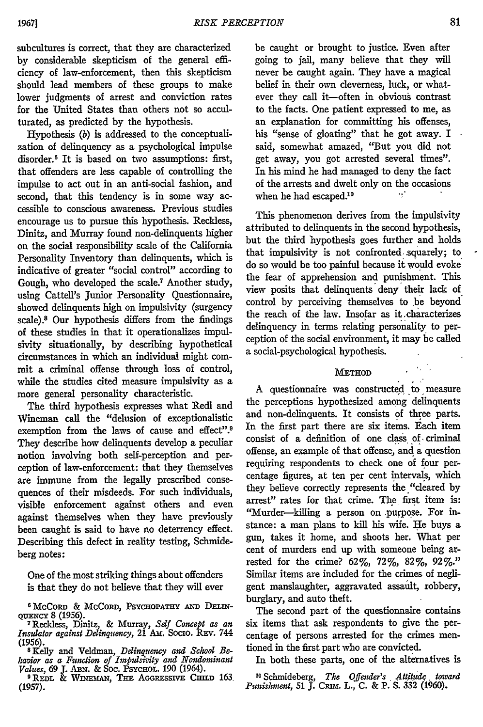*RISK PERCEPTION*

subcultures is correct, that they are characterized by considerable skepticism of the general efficiency of law-enforcement, then this skepticism should lead members of these groups to make lower judgments of arrest and conviction rates for the United States than others not so acculturated, as predicted by the hypothesis.

Hypothesis *(b)* is addressed to the conceptualization of delinquency as a psychological impulse disorder.<sup>6</sup> It is based on two assumptions: first, that offenders are less capable of controlling the impulse to act out in an anti-social fashion, and second, that this tendency is in some way accessible to conscious awareness. Previous studies encourage us to pursue this hypothesis. Reckless, Dinitz, and Murray found non-delinquents higher on the social responsibility scale of the California Personality Inventory than delinquents, which is indicative of greater "social control" according to Gough, who developed the scale.7 Another study, using Cattell's Junior Personality Questionnaire, showed delinquents high on impulsivity (surgency scale).8 Our hypothesis differs from the findings of these studies in that it operationalizes impulsivity situationally, **by** describing hypothetical circumstances in which an individual might commit a criminal offense through loss of control, while the studies cited measure impulsivity as a more general personality characteristic.

The third hypothesis expresses what Redi and Wineman call the "delusion of exceptionalistic exemption from the laws of cause and effect".<sup>9</sup> They describe how delinquents develop a peculiar notion involving both self-perception and perception of law-enforcement: that they themselves are immune from the legally prescribed consequences of their misdeeds. For such individuals, visible enforcement against others and even against themselves when they have previously been caught is said to have no deterrency effect. Describing this defect in reality testing, Schmideberg notes:

One of the most striking things about offenders is that they do not believe that they will ever

**6** McCord & McCord, Psychopathy and Delin-<br> **QUENCY 8** (1956).

**(1956). <sup>8</sup>**Kelly and Veldman, *Ddinquency and School Behavior as a Function of Impulsivity and Nondominant*<br> *Values,* 69 J. ABN. & Soc. Psychol. 190 (1964).<br>
<sup>9</sup> REDL & WINEMAN, THE AGGRESSIVE CHILD 163

(1957).

be caught or brought to justice. Even after going to jail, many believe that they will never be caught again. They have a magical belief in their own cleverness, luck, or whatever they call it-often in obvious contrast to the facts. One patient expressed to me, as an explanation for committing his offenses, his "sense of gloating" that he got away. I said, somewhat amazed, "But you did not get away, you got arrested several times". In his mind he had managed to deny the fact of the arrests and dwelt only on the occasions when he had escaped.<sup>10</sup>

This phenomenon derives from the impulsivity attributed to delinquents in the second hypothesis, but the third hypothesis goes further and holds that impulsivity is not confronted squarely; to do so would be too painful because it would evoke the fear of apprehension and punishment. This view posits that delinquents' deny' their lack of control by perceiving themselves to be beyond the reach of the law. Insofar as it.characterizes delinquency in terms relating personality to perception of the social environment, it may be called a social-psychological hypothesis.

#### METHOD

92 G

A questionnaire was constructed to measure the perceptions hypothesized among delinquents and non-delinquents. It consists of three parts. In the first part there are six items. Each item consist of a definition of one class of. criminal offense, an example of that offense, and a question requiring respondents to check one of four percentage figures, at ten per cent intervals, which they believe correctly represents the "cleared by arrest" rates for that crime. The first item is: "Murder-killing a person on purpose. For instance: a man plans to kill his wife. He buys a gun, takes it home, and shoots her. What per cent of murders end up with someone being arrested for the crime? 62%, 72%, 82%, 92%." Similar items are included for the crimes of negligent manslaughter, aggravated assault, robbery, burglary, and auto theft.

The second part of the questionnaire contains six items that ask respondents to give the percentage of persons arrested for the crimes mentioned in the first part who are convicted.

In both these parts, one of the alternatives is

**<sup>10</sup>**Schmideberg, *Tie Offender's. Attitu4 , toward Piunishnent,* **51 J.** Cmmn. L., **C. &** P. **S. 332** (1960).

**QuENcy** 8 (1956). **<sup>7</sup>**Reckless, Dinitz, & Murray, *Self Concept as an Insulator against Ddinquency,* 21 *Am.* Socio. R v. 744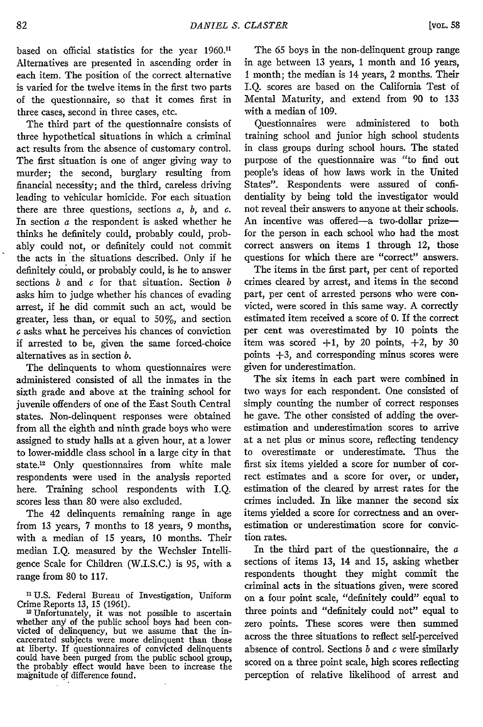based on official statistics for the year **1960.11** Alternatives are presented in ascending order in each item. The position of the correct alternative is varied for the twelve items in the first two parts of the questionnaire, so that it comes first in three cases, second in three cases, etc.

The third part of the questionnaire consists of three hypothetical situations in which a criminal act results from the absence of customary control. The first situation is one of anger giving way to murder; the second, burglary resulting from financial necessity; and the third, careless driving leading to vehicular homicide. For each situation there are three questions, sections  $a$ ,  $b$ , and  $c$ . In section  $a$  the respondent is asked whether he thinks he definitely could, probably could, probably could not, or definitely could not commit the acts in the situations described. Only if he definitely could, or probably could, is he to answer sections b and c for that situation. Section *b* asks him to judge whether his chances of evading arrest, if he did commit such an act, would be greater, less than, or equal to 50%, and section c asks what he perceives his chances of conviction if arrested to be, given the same forced-choice alternatives as in section *b.*

The delinquents to whom questionnaires were administered consisted of all the inmates in the sixth grade and above at the training school for juvenile offenders of one of the East South Central states. Non-delinquent responses were obtained from all the eighth and ninth grade boys who were assigned to study halls at a given hour, at a lower to lower-middle class school in a large city in that state.<sup>12</sup> Only questionnaires from white male respondents were used in the analysis reported here. Training school respondents with I.Q. scores less than **80** were also excluded.

The 42 delinquents remaining range in age from 13 years, 7 months to 18 years, 9 months, with a median of 15 years, **10** months. Their median I.Q. measured by the Wechsler Intelligence Scale for Children (W.I.S.C.) is 95, with a range from **80** to 117.

"U.S. Federal Bureau of Investigation, Uniform Crime Reports *13,* 15 (1961).

'2 Unfortunately, it was not possible to ascertain whether any of the public school boys had been con-<br>victed of delinquency, but we assume that the incarcerated subjects were more delinquent than those at liberty. If questionnaires of convicted delinquents could have been purged from the public school group, the probably effect would have been to increase the magnitude of difference found.

The 65 boys in the non-delinquent group range in age between **13** years, **1** month and **16** years, 1 month; the median is 14 years, 2 months. Their I.Q. scores are based on the California Test of Mental Maturity, and extend from 90 to 133 with a median of 109.

Questionnaires were administered to both training school and junior high school students in class groups during school hours. The stated purpose of the questionnaire was "to find out people's ideas of how laws work in the United States". Respondents were assured of confidentiality by being told the investigator would not reveal their answers to anyone at their schools. An incentive was offered-a two-dollar prizefor the person in each school who had the most correct answers on items 1 through 12, those questions for which there are "correct" answers.

The items in the first part, per cent of reported crimes cleared by arrest, and items in the second part, per cent of arrested persons who were convicted, were scored in this same way. A correctly estimated item received a score of 0. If the correct per cent was overestimated by 10 points the item was scored  $+1$ , by 20 points,  $+2$ , by 30 points **+3,** and corresponding minus scores were given for underestimation.

The six items in each part were combined in two ways for each respondent. One consisted of simply counting the number of correct responses he gave. The other consisted of adding the overestimation and underestimation scores to arrive at a net plus or minus score, reflecting tendency to overestimate or underestimate. Thus the first six items yielded a score for number of correct estimates and a score for over, or under, estimation of the cleared by arrest rates for the crimes included. In like manner the second six items yielded a score for correctness and an overestimation or underestimation score for conviction rates.

In the third part of the questionnaire, the  $a$ sections of items 13, 14 and 15, asking whether respondents thought they might commit the criminal acts in the situations given, were scored on a four point scale, "definitely could" equal to three points and "definitely could not" equal to zero points. These scores were then summed across the three situations to reflect self-perceived absence of control. Sections *b* and c were similarly scored on a three point scale, high scores reflecting perception of relative likelihood of arrest and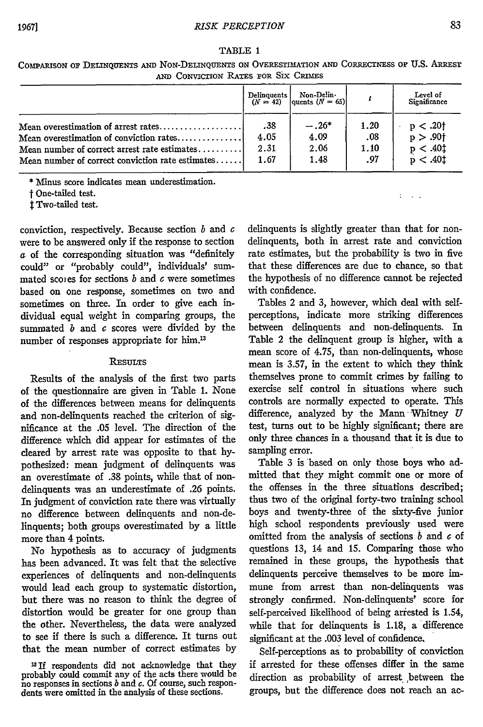#### TABLE 1

COMPARISON OF DELINQUENTS AND NON-DELINQUENTS ON OVERESTIMATION AND CORRECTNESS OF U.S. ARREST AND CONVICTION RATES FOR SIX CRIMES

|                                                  | Delinquents<br>$(N = 42)$ | Non-Delin-<br>quents $(N = 65)$ |      | Level of<br>Significance            |
|--------------------------------------------------|---------------------------|---------------------------------|------|-------------------------------------|
| Mean overestimation of arrest rates              | .38                       | $-.26*$                         | 1.20 | p < .20f                            |
| Mean overestimation of conviction rates          | 4.05                      | 4.09                            | .08  | p > .90f                            |
| Mean number of correct arrest rate estimates     | 2.31                      | 2.06                            | 1.10 | p < .401                            |
| Mean number of correct conviction rate estimates | 1.67                      | 1.48                            | .97  | $\overline{p}$ < .40 $\overline{t}$ |

**\*** Minus score indicates mean underestimation.

t One-tailed test.

t Two-tailed test.

conviction, respectively. Because section *b* and c were to be answered only if the response to section a of the corresponding situation was "definitely could" or "probably could", individuals' summated scoies for sections **b** and c were sometimes based on one response, sometimes on two and sometimes on three. In order to give each individual equal weight in comparing groups, the summated *b* and c scores were divided by the number of responses appropriate for him.<sup>13</sup>

## **RESULTS**

Results of the analysis of the first two parts of the questionnaire are given in Table **1.** None of the differences between means for delinquents and non-delinquents reached the criterion of significance at the .05 level. The direction of the difference which did appear for estimates of the cleared by arrest rate was opposite to that hypothesized: mean judgment of delinquents was an overestimate of .38 points, while that of nondelinquents was an underestimate of .26 points. In judgment of conviction rate there was virtually no difference between delinquents and non-delinquents; both groups overestimated by a little more than 4 points.

No hypothesis as to accuracy of judgments has been advanced. It was felt that the selective experiences of delinquents and non-delinquents would lead each group to systematic distortion, but there was no reason to think the degree of distortion would be greater for one group than the other. Nevertheless, the data were analyzed to see if there is such a difference. It turns out that the mean number of correct estimates by

'3If respondents did not acknowledge that they probably could commit any of the acts there would be no responses in sections b and c. **Of** course, such respondents were omitted in the analysis of these sections.

delinquents is slightly greater than that for nondelinquents, both in arrest rate and conviction rate estimates, but the probability is two in five that these differences are due to chance, so that the hypothesis of no difference cannot be rejected with confidence.

Tables 2 and 3, however, which deal with selfperceptions, indicate more striking differences between delinquents and non-delinquents. In Table 2 the delinquent group is higher, with a mean score of 4.75, than non-delinquents, whose mean is 3.57, in the extent to which they think themselves prone to commit crimes by failing to exercise self control in situations where such controls are normally expected to operate. This difference, analyzed by the Mann Whitney *U* test, turns out to be highly significant; there are only three chances in a thousand that it is due to sampling error.

Table 3 is based on only those boys who admitted that they might commit one or more of the offenses in the three situations described; thus two of the original forty-two training school boys and twenty-three of the sixty-five junior high school respondents previously used were omitted from the analysis of sections *b* and c of questions 13, 14 and 15. Comparing those who remained in these groups, the hypothesis that delinquents perceive themselves to be more immune from arrest than non-delinquents was strongly confirmed. Non-delinquents' score for self-perceived likelihood of being arrested is 1.54, while that for delinquents is 1.18, a difference significant at the .003 level of confidence.

Self-perceptions as to probability of conviction if arrested for these offenses differ in the same direction as probability of arrest between the groups, but the difference does not reach an ac-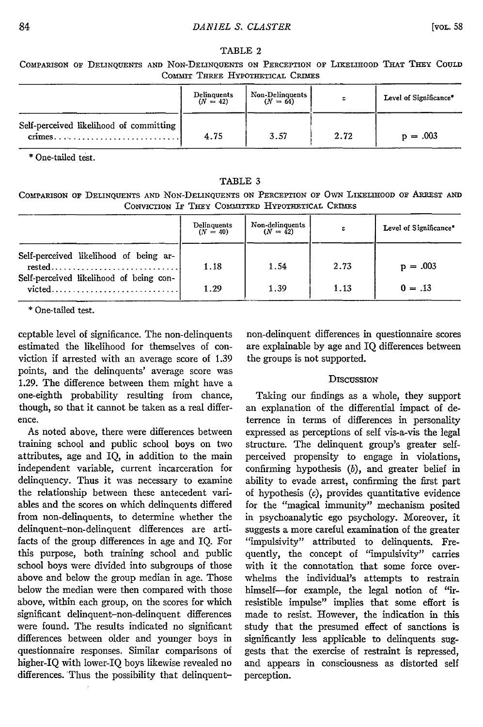## TABLE 2

COMPARISON OF **DELINQUENTS AND** NoN-DELINQUENTS **ON** PERCEPTION OF LIKELiHooD THAT THEY COULD COMMIT THREE HYPOTHETICAL CRIMES

|                                         | Delinquents<br>$(N = 42)$ | Non-Delinquents<br>$(N = 64)$ | $\mathbf{z}$ | Level of Significance* |
|-----------------------------------------|---------------------------|-------------------------------|--------------|------------------------|
| Self-perceived likelihood of committing | 4.75                      | 3.57                          | 2.72         | $p = .003$             |

\* One-tailed test.

#### TABLE 3

COMPARISON OF DELINQUENTS AND NON-DELINQUENTS ON PERCEPTION OF OWN LIKELIHOOD OF ARREST AND **CONVICTION IF THEY COMMITTED HYPOTHETICAL CRIMES** 

|                                                                   | Delinquents<br>$(N = 40)$ | Non-delinquents<br>$(N = 42)$ | Σ    | Level of Significance* |
|-------------------------------------------------------------------|---------------------------|-------------------------------|------|------------------------|
| Self-perceived likelihood of being ar-<br>$rested$                | 1.18                      | 1.54                          | 2.73 | $p = .003$             |
| Self-perceived likelihood of being con-<br>victed<br>. <b>.</b> . | 1.29                      | 1.39                          | 1.13 | $0 = .13$              |

**\*** One-tailed test.

ceptable level of significance. The non-delinquents estimated the likelihood for themselves of conviction if arrested with an average score of 1.39 points, and the delinquents' average score was 1.29. The difference between them might have a one-eighth probability resulting from chance, though, so that it cannot be taken as a real difference.

As noted above, there were differences between training school and public school boys on two attributes, age and IQ, in addition to the main independent variable, current incarceration for delinquency. Thus it was necessary to examine the relationship between these antecedent variables and the scores on which delinquents differed from non-delinquents, to determine whether the delinquent-non-delinquent differences are artifacts of the group differences in age and IQ. For this purpose, both training school and public school boys were divided into subgroups of those above and below the group median in age. Those below the median were then compared with those above, within each group, on the scores for which significant delinquent-non-delinquent differences were found. The results indicated no significant differences between older and younger boys in questionnaire responses. Similar comparisons of higher-IQ with lower-IQ boys likewise revealed no differences. 'Thus the possibility that delinquentnon-delinquent differences in questionnaire scores are explainable by age and IQ differences between the groups is not supported.

#### **DISCUSSION**

Taking our findings as a whole, they support an explanation of the differential impact of deterrence in terms of differences in personality expressed as perceptions of self vis-a-vis the legal structure. The delinquent group's greater selfperceived propensity to engage in violations, confirming hypothesis  $(b)$ , and greater belief in ability to evade arrest, confirming the first part of hypothesis (c), provides quantitative evidence for the "magical immunity" mechanism posited in psychoanalytic ego psychology. Moreover, it suggests a more careful examination of the greater "impulsivity" attributed to delinquents. Frequently, the concept of "impulsivity" carries with it the connotation that some force overwhelms the individual's attempts to restrain himself-for example, the legal notion of "irresistible impulse" implies that some effort is made to resist. However, the indication in this study that the presumed effect of sanctions is significantly less applicable to delinquents suggests that the exercise of restraint is repressed. and appears in consciousness as distorted self perception.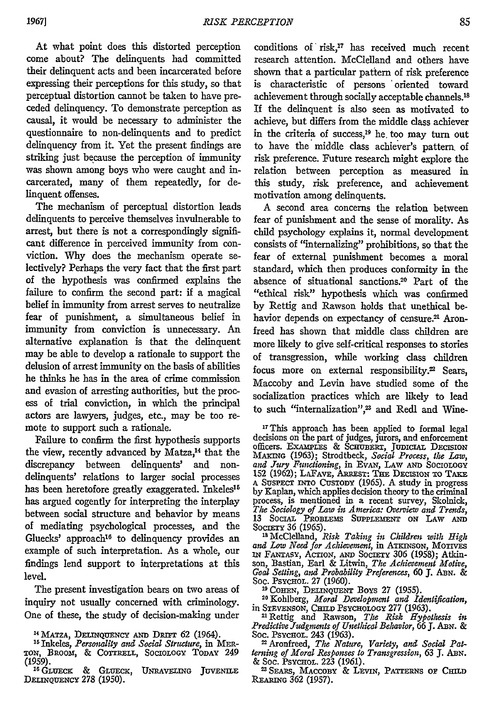At what point does this distorted perception come about? The delinquents had committed their delinquent acts and been incarcerated before expressing their perceptions for this study, so that perceptual distortion cannot be taken to have preceded delinquency. To demonstrate perception as causal, it would be necessary to administer the questionnaire to non-delinquents and to predict delinquency from it. Yet the present findings are striking just because the perception of immunity was shown among boys who were caught and incarcerated, many of them repeatedly, for delinquent offenses.

The mechanism of perceptual distortion leads delinquents to perceive themselves invulnerable to arrest, but there is not a correspondingly significant difference in perceived immunity from conviction. Why does the mechanism operate selectively? Perhaps the very fact that the first part of the hypothesis was confirmed explains the failure to confirm the second part: **if** a magical belief in immunity from arrest serves to neutralize fear of punishment, a simultaneous belief in immunity from conviction is unnecessary. An alternative explanation is that the delinquent may be able to develop a rationale to support the delusion of arrest immunity on the basis of abilities he thinks he has in the area of crime commission and evasion of arresting authorities, but the process of trial conviction, in which the principal actors are lawyers, judges, etc., may be too remote to support such a rationale.

Failure to confirm the first hypothesis supports the view, recently advanced by Matza,<sup>14</sup> that the discrepancy between delinquents' and nondelinquents' relations to larger social processes has been heretofore greatly exaggerated. Inkeles<sup>15</sup> has argued cogently for interpreting the interplay between social structure and behavior by means of mediating psychological processes, and the Gluecks' approach<sup>16</sup> to delinquency provides an example of such interpretation. As a whole, our findings lend support to interpretations at this level.

The present investigation bears on two areas of inquiry not usually concerned with criminology. One of these, the study of decision-making under

conditions of risk,<sup>17</sup> has received much recent research attention. McClelland and others have shown that a particular pattern of risk preference is characteristic of persons 'oriented toward achievement through socially acceptable channels.<sup>18</sup> If the delinquent is also seen as motivated to achieve, but differs from the middle class achiever in the criteria of success,<sup>19</sup> he, too may turn out to have the middle class achiever's pattern. of risk preference. Future research might explore the relation between perception as measured in this study, risk preference, and achievement motivation among delinquents.

A second area concerns the relation between fear of punishment and the sense of morality. As child psychology explains it, normal development consists of "internalizing" prohibitions, so that the fear of external punishment becomes a moral standard, which then produces conformity in the absence of situational sanctions.20 Part of the "ethical risk" hypothesis which was confirmed by Rettig and Rawson holds that unethical behavior depends on expectancy of censure.21 Aronfreed has shown that middle class children are more likely to give self-critical responses to stories of transgression, while working class children focus more on external responsibility.<sup>22</sup> Sears, Maccoby and Levin have studied some of the socialization practices which are likely to lead to such "internalization",<sup>23</sup> and Redl and Wine-

'TThis approach has been applied to formal legal decisions on the part of judges, jurors, and enforcement Officers. Examples & SCHUBERT, JUDICIAL DECISION<br>MAKING (1963); Strodtbeck, Social Process, the Law,<br>and Jury Functioning, in Evan, Law and Sociology<br>152 (1962); LAFAVE, ARREST: THE DECISION TO TAKE **A SUSPECT** INTO **CUSTODY** (1965). A study in progress **by** Kaplan, which applies decision theory **to** the criminal process, **is** mentioned in **a** recent survey, Skolnick, *The Sociology of Law in America: Overview and Trends,* 13 **SOCIAL** PROBLEMS **SUPPLEMENT ON LAW AND** SOCIETY 36 (1965).

**'** McClelland, *Risk Taking in Children with High and Low Need for Achievement,* **in ATKINSON,** MOTIVES IN FANTASY, **AcTION, AND** SOCIETY **306** (1958); Atkin-son, Bastian, Earl & Litwin, *The Achievement Motive, Goal Setting, and Probability Preferences,* **60 J.** ABN. & **SoC.** PSYCHOL. **27** (1960).

**19 CoHEN, DELINQUENT** Boys **27** (1955). 20 Kohlberg, *Moral Development and Identification,* **in STEVENSON,** CBILD PSYCHOLOGY 277 **(1963).**

2 Rettig and Rawson, *The Risk Hypothesis in Predictive Judgments of Unethical Behavior,* 66 **J. ABN. &** Soc. Psychol. 243 (1963).<br><sup>22</sup> Aronfreed, *The Nature, Variety, and Social Pat-*

*terning of Moral Responses to Transgression, 63* **J.** *ABN.* & **SoC. PSYcHOL.** 223 **(1961).**

**2** SEARS, MACCOBY & LEVIN, PATTERNS **OF** CHILD **REARING** 362 (1957).

<sup>&</sup>lt;sup>14</sup> MATZA, DELINQUENCY AND DRIFT 62 (1964).<br><sup>15</sup> Inkeles, *Personality and Social Structure*, in MER-TON, BROOM, & COTTRELL, **SOCIOLOGY** TODAY 249 (1959).

**<sup>&#</sup>x27; <sup>6</sup> GLuEcE** & **GLUECK,** UNRAvELING **JUVENILE DELINQUENCY** 278 (1950).